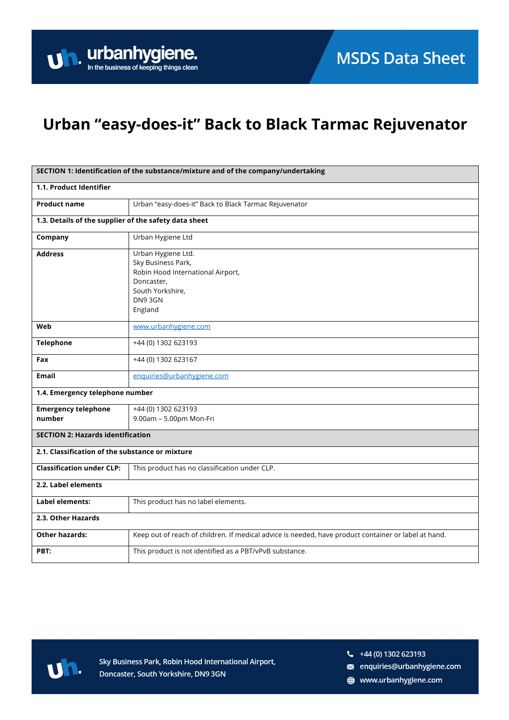# Urban "easy-does-it" Back to Black Tarmac Rejuvenator

| SECTION 1: Identification of the substance/mixture and of the company/undertaking |                                                                                                                                       |  |
|-----------------------------------------------------------------------------------|---------------------------------------------------------------------------------------------------------------------------------------|--|
| 1.1. Product Identifier                                                           |                                                                                                                                       |  |
| <b>Product name</b>                                                               | Urban "easy-does-it" Back to Black Tarmac Rejuvenator                                                                                 |  |
| 1.3. Details of the supplier of the safety data sheet                             |                                                                                                                                       |  |
| Company                                                                           | Urban Hygiene Ltd                                                                                                                     |  |
| <b>Address</b>                                                                    | Urban Hygiene Ltd.<br>Sky Business Park,<br>Robin Hood International Airport,<br>Doncaster,<br>South Yorkshire,<br>DN9 3GN<br>England |  |
| Web                                                                               | www.urbanhygiene.com                                                                                                                  |  |
| <b>Telephone</b>                                                                  | +44 (0) 1302 623193                                                                                                                   |  |
| Fax                                                                               | +44 (0) 1302 623167                                                                                                                   |  |
| <b>Email</b>                                                                      | enquiries@urbanhygiene.com                                                                                                            |  |
| 1.4. Emergency telephone number                                                   |                                                                                                                                       |  |
| <b>Emergency telephone</b><br>number                                              | +44 (0) 1302 623193<br>9.00am - 5.00pm Mon-Fri                                                                                        |  |
| <b>SECTION 2: Hazards identification</b>                                          |                                                                                                                                       |  |
| 2.1. Classification of the substance or mixture                                   |                                                                                                                                       |  |
| <b>Classification under CLP:</b>                                                  | This product has no classification under CLP.                                                                                         |  |
| 2.2. Label elements                                                               |                                                                                                                                       |  |
| Label elements:                                                                   | This product has no label elements.                                                                                                   |  |
| 2.3. Other Hazards                                                                |                                                                                                                                       |  |
| <b>Other hazards:</b>                                                             | Keep out of reach of children. If medical advice is needed, have product container or label at hand.                                  |  |
| PBT:                                                                              | This product is not identified as a PBT/vPvB substance.                                                                               |  |



Sky Business Park, Robin Hood International Airport, Doncaster, South Yorkshire, DN9 3GN

 $\frac{1}{2}$  +44 (0) 1302 623193

- a enquiries@urbanhygiene.com
- www.urbanhygiene.com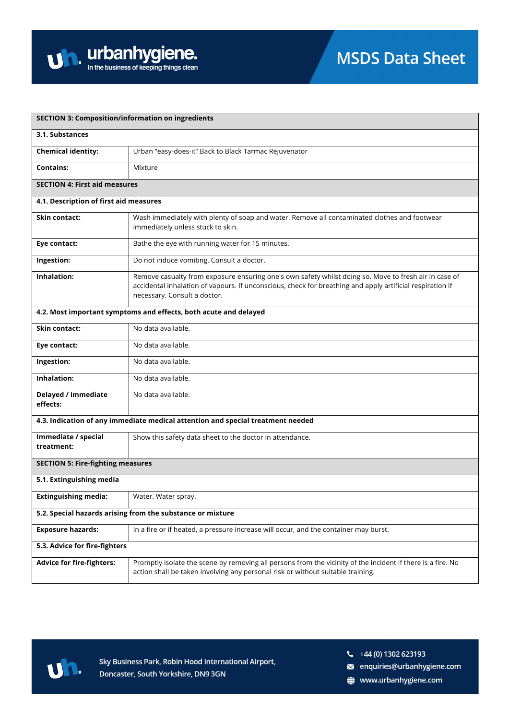

| <b>SECTION 3: Composition/information on ingredients</b> |                                                                                                                                                                                                                                                    |  |
|----------------------------------------------------------|----------------------------------------------------------------------------------------------------------------------------------------------------------------------------------------------------------------------------------------------------|--|
| 3.1. Substances                                          |                                                                                                                                                                                                                                                    |  |
| <b>Chemical identity:</b>                                | Urban "easy-does-it" Back to Black Tarmac Rejuvenator                                                                                                                                                                                              |  |
| <b>Contains:</b>                                         | Mixture                                                                                                                                                                                                                                            |  |
| <b>SECTION 4: First aid measures</b>                     |                                                                                                                                                                                                                                                    |  |
| 4.1. Description of first aid measures                   |                                                                                                                                                                                                                                                    |  |
| <b>Skin contact:</b>                                     | Wash immediately with plenty of soap and water. Remove all contaminated clothes and footwear<br>immediately unless stuck to skin.                                                                                                                  |  |
| Eye contact:                                             | Bathe the eye with running water for 15 minutes.                                                                                                                                                                                                   |  |
| Ingestion:                                               | Do not induce vomiting. Consult a doctor.                                                                                                                                                                                                          |  |
| Inhalation:                                              | Remove casualty from exposure ensuring one's own safety whilst doing so. Move to fresh air in case of<br>accidental inhalation of vapours. If unconscious, check for breathing and apply artificial respiration if<br>necessary. Consult a doctor. |  |
|                                                          | 4.2. Most important symptoms and effects, both acute and delayed                                                                                                                                                                                   |  |
| <b>Skin contact:</b>                                     | No data available.                                                                                                                                                                                                                                 |  |
| Eye contact:                                             | No data available.                                                                                                                                                                                                                                 |  |
| Ingestion:                                               | No data available.                                                                                                                                                                                                                                 |  |
| Inhalation:                                              | No data available.                                                                                                                                                                                                                                 |  |
| Delayed / immediate<br>effects:                          | No data available.                                                                                                                                                                                                                                 |  |
|                                                          | 4.3. Indication of any immediate medical attention and special treatment needed                                                                                                                                                                    |  |
| Immediate / special<br>treatment:                        | Show this safety data sheet to the doctor in attendance.                                                                                                                                                                                           |  |
| <b>SECTION 5: Fire-fighting measures</b>                 |                                                                                                                                                                                                                                                    |  |
| 5.1. Extinguishing media                                 |                                                                                                                                                                                                                                                    |  |
| <b>Extinguishing media:</b>                              | Water. Water spray.                                                                                                                                                                                                                                |  |
|                                                          | 5.2. Special hazards arising from the substance or mixture                                                                                                                                                                                         |  |
| <b>Exposure hazards:</b>                                 | In a fire or if heated, a pressure increase will occur, and the container may burst.                                                                                                                                                               |  |
| 5.3. Advice for fire-fighters                            |                                                                                                                                                                                                                                                    |  |
| <b>Advice for fire-fighters:</b>                         | Promptly isolate the scene by removing all persons from the vicinity of the incident if there is a fire. No<br>action shall be taken involving any personal risk or without suitable training.                                                     |  |



 $\frac{1}{2}$  +44 (0) 1302 623193

a enquiries@urbanhygiene.com

www.urbanhygiene.com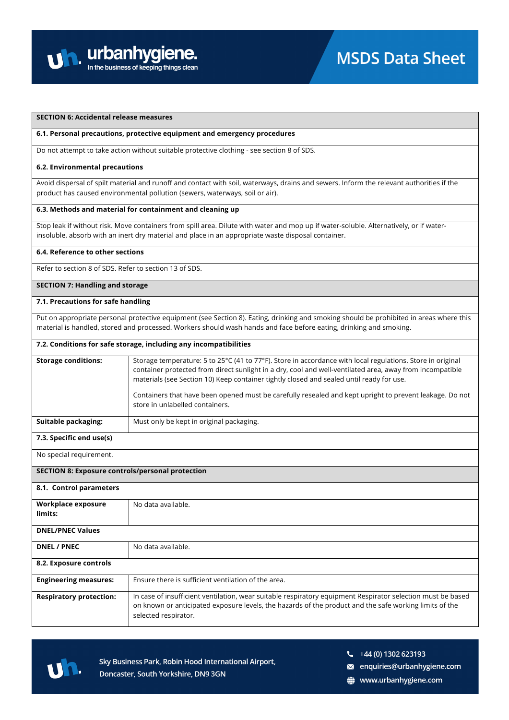

# **SECTION 6: Accidental release measures**

#### **6.1. Personal precautions, protective equipment and emergency procedures**

Do not attempt to take action without suitable protective clothing - see section 8 of SDS.

#### **6.2. Environmental precautions**

Avoid dispersal of spilt material and runoff and contact with soil, waterways, drains and sewers. Inform the relevant authorities if the product has caused environmental pollution (sewers, waterways, soil or air).

## **6.3. Methods and material for containment and cleaning up**

Stop leak if without risk. Move containers from spill area. Dilute with water and mop up if water-soluble. Alternatively, or if waterinsoluble, absorb with an inert dry material and place in an appropriate waste disposal container.

#### **6.4. Reference to other sections**

Refer to section 8 of SDS. Refer to section 13 of SDS.

## **SECTION 7: Handling and storage**

#### **7.1. Precautions for safe handling**

Put on appropriate personal protective equipment (see Section 8). Eating, drinking and smoking should be prohibited in areas where this material is handled, stored and processed. Workers should wash hands and face before eating, drinking and smoking.

#### **7.2. Conditions for safe storage, including any incompatibilities**

| <b>Storage conditions:</b> | Storage temperature: 5 to 25°C (41 to 77°F). Store in accordance with local regulations. Store in original<br>container protected from direct sunlight in a dry, cool and well-ventilated area, away from incompatible<br>materials (see Section 10) Keep container tightly closed and sealed until ready for use.<br>Containers that have been opened must be carefully resealed and kept upright to prevent leakage. Do not |
|----------------------------|-------------------------------------------------------------------------------------------------------------------------------------------------------------------------------------------------------------------------------------------------------------------------------------------------------------------------------------------------------------------------------------------------------------------------------|
|                            | store in unlabelled containers.                                                                                                                                                                                                                                                                                                                                                                                               |
| Suitable packaging:        | Must only be kept in original packaging.                                                                                                                                                                                                                                                                                                                                                                                      |

# **7.3. Specific end use(s)**

No special requirement.

## **SECTION 8: Exposure controls/personal protection**

| 8.1. Control parameters        |                                                                                                                                                                                                                                               |
|--------------------------------|-----------------------------------------------------------------------------------------------------------------------------------------------------------------------------------------------------------------------------------------------|
|                                |                                                                                                                                                                                                                                               |
| Workplace exposure             | No data available.                                                                                                                                                                                                                            |
| limits:                        |                                                                                                                                                                                                                                               |
|                                |                                                                                                                                                                                                                                               |
| <b>DNEL/PNEC Values</b>        |                                                                                                                                                                                                                                               |
| <b>DNEL / PNEC</b>             | No data available.                                                                                                                                                                                                                            |
| 8.2. Exposure controls         |                                                                                                                                                                                                                                               |
| <b>Engineering measures:</b>   | Ensure there is sufficient ventilation of the area.                                                                                                                                                                                           |
| <b>Respiratory protection:</b> | In case of insufficient ventilation, wear suitable respiratory equipment Respirator selection must be based<br>on known or anticipated exposure levels, the hazards of the product and the safe working limits of the<br>selected respirator. |



Sky Business Park, Robin Hood International Airport, Doncaster, South Yorkshire, DN9 3GN

- $\frac{1}{2}$  +44 (0) 1302 623193
- s enquiries@urbanhygiene.com
- www.urbanhygiene.com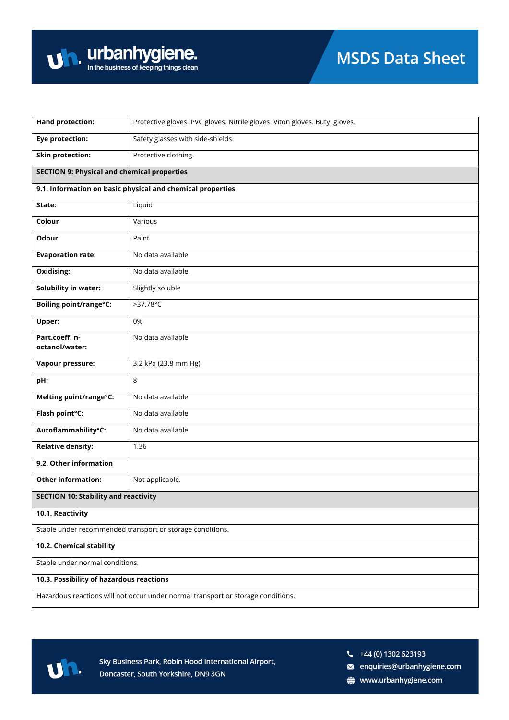| <b>Hand protection:</b>                                                          | Protective gloves. PVC gloves. Nitrile gloves. Viton gloves. Butyl gloves. |  |
|----------------------------------------------------------------------------------|----------------------------------------------------------------------------|--|
| <b>Eye protection:</b>                                                           | Safety glasses with side-shields.                                          |  |
| <b>Skin protection:</b>                                                          | Protective clothing.                                                       |  |
| <b>SECTION 9: Physical and chemical properties</b>                               |                                                                            |  |
|                                                                                  | 9.1. Information on basic physical and chemical properties                 |  |
| State:                                                                           | Liquid                                                                     |  |
| Colour                                                                           | Various                                                                    |  |
| Odour                                                                            | Paint                                                                      |  |
| <b>Evaporation rate:</b>                                                         | No data available                                                          |  |
| Oxidising:                                                                       | No data available.                                                         |  |
| <b>Solubility in water:</b>                                                      | Slightly soluble                                                           |  |
| Boiling point/range°C:                                                           | $>37.78^{\circ}$ C                                                         |  |
| Upper:                                                                           | 0%                                                                         |  |
| Part.coeff.n-<br>octanol/water:                                                  | No data available                                                          |  |
| Vapour pressure:                                                                 | 3.2 kPa (23.8 mm Hg)                                                       |  |
|                                                                                  | 8                                                                          |  |
| pH:                                                                              |                                                                            |  |
| Melting point/range°C:                                                           | No data available                                                          |  |
| Flash point°C:                                                                   | No data available                                                          |  |
| Autoflammability°C:                                                              | No data available                                                          |  |
| <b>Relative density:</b>                                                         | 1.36                                                                       |  |
| 9.2. Other information                                                           |                                                                            |  |
| <b>Other information:</b>                                                        | Not applicable.                                                            |  |
| <b>SECTION 10: Stability and reactivity</b>                                      |                                                                            |  |
| 10.1. Reactivity                                                                 |                                                                            |  |
| Stable under recommended transport or storage conditions.                        |                                                                            |  |
| 10.2. Chemical stability                                                         |                                                                            |  |
| Stable under normal conditions.                                                  |                                                                            |  |
| 10.3. Possibility of hazardous reactions                                         |                                                                            |  |
| Hazardous reactions will not occur under normal transport or storage conditions. |                                                                            |  |



 $\frac{1}{2}$  +44 (0) 1302 623193

a enquiries@urbanhygiene.com

www.urbanhygiene.com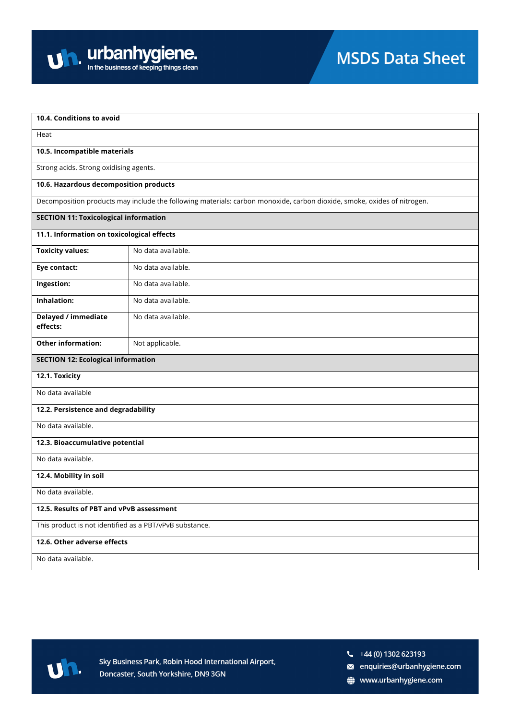

| Heat<br>10.5. Incompatible materials<br>Strong acids. Strong oxidising agents.<br>10.6. Hazardous decomposition products<br>Decomposition products may include the following materials: carbon monoxide, carbon dioxide, smoke, oxides of nitrogen.<br><b>SECTION 11: Toxicological information</b><br>11.1. Information on toxicological effects<br>No data available.<br><b>Toxicity values:</b><br>No data available.<br>Eye contact:<br>Ingestion:<br>No data available.<br>Inhalation:<br>No data available.<br>Delayed / immediate<br>No data available.<br>effects:<br><b>Other information:</b><br>Not applicable.<br><b>SECTION 12: Ecological information</b><br>12.1. Toxicity<br>No data available<br>12.2. Persistence and degradability<br>No data available.<br>12.3. Bioaccumulative potential<br>No data available.<br>12.4. Mobility in soil<br>No data available.<br>12.5. Results of PBT and vPvB assessment<br>This product is not identified as a PBT/vPvB substance.<br>12.6. Other adverse effects<br>No data available. | 10.4. Conditions to avoid |  |
|--------------------------------------------------------------------------------------------------------------------------------------------------------------------------------------------------------------------------------------------------------------------------------------------------------------------------------------------------------------------------------------------------------------------------------------------------------------------------------------------------------------------------------------------------------------------------------------------------------------------------------------------------------------------------------------------------------------------------------------------------------------------------------------------------------------------------------------------------------------------------------------------------------------------------------------------------------------------------------------------------------------------------------------------------|---------------------------|--|
|                                                                                                                                                                                                                                                                                                                                                                                                                                                                                                                                                                                                                                                                                                                                                                                                                                                                                                                                                                                                                                                  |                           |  |
|                                                                                                                                                                                                                                                                                                                                                                                                                                                                                                                                                                                                                                                                                                                                                                                                                                                                                                                                                                                                                                                  |                           |  |
|                                                                                                                                                                                                                                                                                                                                                                                                                                                                                                                                                                                                                                                                                                                                                                                                                                                                                                                                                                                                                                                  |                           |  |
|                                                                                                                                                                                                                                                                                                                                                                                                                                                                                                                                                                                                                                                                                                                                                                                                                                                                                                                                                                                                                                                  |                           |  |
|                                                                                                                                                                                                                                                                                                                                                                                                                                                                                                                                                                                                                                                                                                                                                                                                                                                                                                                                                                                                                                                  |                           |  |
|                                                                                                                                                                                                                                                                                                                                                                                                                                                                                                                                                                                                                                                                                                                                                                                                                                                                                                                                                                                                                                                  |                           |  |
|                                                                                                                                                                                                                                                                                                                                                                                                                                                                                                                                                                                                                                                                                                                                                                                                                                                                                                                                                                                                                                                  |                           |  |
|                                                                                                                                                                                                                                                                                                                                                                                                                                                                                                                                                                                                                                                                                                                                                                                                                                                                                                                                                                                                                                                  |                           |  |
|                                                                                                                                                                                                                                                                                                                                                                                                                                                                                                                                                                                                                                                                                                                                                                                                                                                                                                                                                                                                                                                  |                           |  |
|                                                                                                                                                                                                                                                                                                                                                                                                                                                                                                                                                                                                                                                                                                                                                                                                                                                                                                                                                                                                                                                  |                           |  |
|                                                                                                                                                                                                                                                                                                                                                                                                                                                                                                                                                                                                                                                                                                                                                                                                                                                                                                                                                                                                                                                  |                           |  |
|                                                                                                                                                                                                                                                                                                                                                                                                                                                                                                                                                                                                                                                                                                                                                                                                                                                                                                                                                                                                                                                  |                           |  |
|                                                                                                                                                                                                                                                                                                                                                                                                                                                                                                                                                                                                                                                                                                                                                                                                                                                                                                                                                                                                                                                  |                           |  |
|                                                                                                                                                                                                                                                                                                                                                                                                                                                                                                                                                                                                                                                                                                                                                                                                                                                                                                                                                                                                                                                  |                           |  |
|                                                                                                                                                                                                                                                                                                                                                                                                                                                                                                                                                                                                                                                                                                                                                                                                                                                                                                                                                                                                                                                  |                           |  |
|                                                                                                                                                                                                                                                                                                                                                                                                                                                                                                                                                                                                                                                                                                                                                                                                                                                                                                                                                                                                                                                  |                           |  |
|                                                                                                                                                                                                                                                                                                                                                                                                                                                                                                                                                                                                                                                                                                                                                                                                                                                                                                                                                                                                                                                  |                           |  |
|                                                                                                                                                                                                                                                                                                                                                                                                                                                                                                                                                                                                                                                                                                                                                                                                                                                                                                                                                                                                                                                  |                           |  |
|                                                                                                                                                                                                                                                                                                                                                                                                                                                                                                                                                                                                                                                                                                                                                                                                                                                                                                                                                                                                                                                  |                           |  |
|                                                                                                                                                                                                                                                                                                                                                                                                                                                                                                                                                                                                                                                                                                                                                                                                                                                                                                                                                                                                                                                  |                           |  |
|                                                                                                                                                                                                                                                                                                                                                                                                                                                                                                                                                                                                                                                                                                                                                                                                                                                                                                                                                                                                                                                  |                           |  |
|                                                                                                                                                                                                                                                                                                                                                                                                                                                                                                                                                                                                                                                                                                                                                                                                                                                                                                                                                                                                                                                  |                           |  |
|                                                                                                                                                                                                                                                                                                                                                                                                                                                                                                                                                                                                                                                                                                                                                                                                                                                                                                                                                                                                                                                  |                           |  |
|                                                                                                                                                                                                                                                                                                                                                                                                                                                                                                                                                                                                                                                                                                                                                                                                                                                                                                                                                                                                                                                  |                           |  |
|                                                                                                                                                                                                                                                                                                                                                                                                                                                                                                                                                                                                                                                                                                                                                                                                                                                                                                                                                                                                                                                  |                           |  |
|                                                                                                                                                                                                                                                                                                                                                                                                                                                                                                                                                                                                                                                                                                                                                                                                                                                                                                                                                                                                                                                  |                           |  |



 $\frac{1}{2}$  +44 (0) 1302 623193

- a enquiries@urbanhygiene.com
- www.urbanhygiene.com